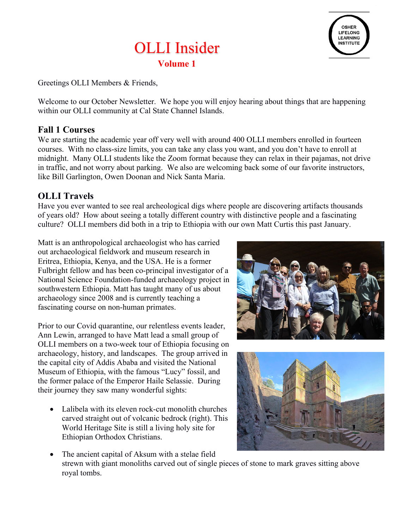



Greetings OLLI Members & Friends,

Welcome to our October Newsletter. We hope you will enjoy hearing about things that are happening within our OLLI community at Cal State Channel Islands.

### **Fall 1 Courses**

We are starting the academic year off very well with around 400 OLLI members enrolled in fourteen courses. With no class-size limits, you can take any class you want, and you don't have to enroll at midnight. Many OLLI students like the Zoom format because they can relax in their pajamas, not drive in traffic, and not worry about parking. We also are welcoming back some of our favorite instructors, like Bill Garlington, Owen Doonan and Nick Santa Maria.

### **OLLI Travels**

Have you ever wanted to see real archeological digs where people are discovering artifacts thousands of years old? How about seeing a totally different country with distinctive people and a fascinating culture? OLLI members did both in a trip to Ethiopia with our own Matt Curtis this past January.

Matt is an anthropological archaeologist who has carried out archaeological fieldwork and museum research in Eritrea, Ethiopia, Kenya, and the USA. He is a former Fulbright fellow and has been co-principal investigator of a National Science Foundation-funded archaeology project in southwestern Ethiopia. Matt has taught many of us about archaeology since 2008 and is currently teaching a fascinating course on non-human primates.

Prior to our Covid quarantine, our relentless events leader, Ann Lewin, arranged to have Matt lead a small group of OLLI members on a two-week tour of Ethiopia focusing on archaeology, history, and landscapes. The group arrived in the capital city of Addis Ababa and visited the National Museum of Ethiopia, with the famous "Lucy" fossil, and the former palace of the Emperor Haile Selassie. During their journey they saw many wonderful sights:

• Lalibela with its eleven rock-cut monolith churches carved straight out of volcanic bedrock (right). This World Heritage Site is still a living holy site for Ethiopian Orthodox Christians.





• The ancient capital of Aksum with a stelae field strewn with giant monoliths carved out of single pieces of stone to mark graves sitting above royal tombs.